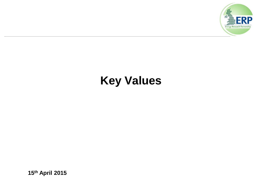

### **Key Values**

**15th April 2015**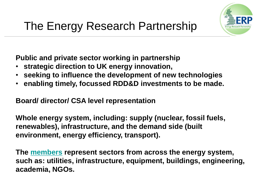

**Public and private sector working in partnership** 

- **strategic direction to UK energy innovation,**
- **seeking to influence the development of new technologies**
- **enabling timely, focussed RDD&D investments to be made.**

**Board/ director/ CSA level representation**

**Whole energy system, including: supply (nuclear, fossil fuels, renewables), infrastructure, and the demand side (built environment, energy efficiency, transport).**

**The [members](http://www.energyresearchpartnership.org.uk/tiki-index.php?page=page4) represent sectors from across the energy system, such as: utilities, infrastructure, equipment, buildings, engineering, academia, NGOs.**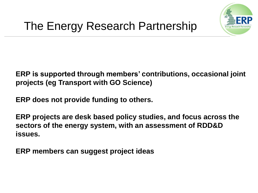

**ERP is supported through members' contributions, occasional joint projects (eg Transport with GO Science)** 

**ERP does not provide funding to others.** 

**ERP projects are desk based policy studies, and focus across the sectors of the energy system, with an assessment of RDD&D issues.**

**ERP members can suggest project ideas**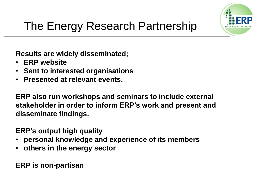

## The Energy Research Partnership

**Results are widely disseminated;** 

- **ERP website**
- **Sent to interested organisations**
- **Presented at relevant events.**

**ERP also run workshops and seminars to include external stakeholder in order to inform ERP's work and present and disseminate findings.**

**ERP's output high quality** 

- **personal knowledge and experience of its members**
- **others in the energy sector**

**ERP is non-partisan**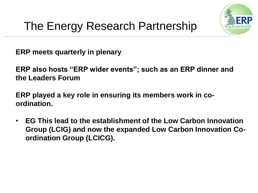

**ERP meets quarterly in plenary**

**ERP also hosts "ERP wider events"; such as an ERP dinner and the Leaders Forum**

**ERP played a key role in ensuring its members work in coordination.**

• **EG This lead to the establishment of the Low Carbon Innovation Group (LCIG) and now the expanded Low Carbon Innovation Coordination Group (LCICG).**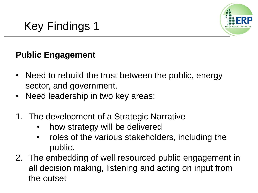

#### **Public Engagement**

- Need to rebuild the trust between the public, energy sector, and government.
- Need leadership in two key areas:
- 1. The development of a Strategic Narrative
	- how strategy will be delivered
	- roles of the various stakeholders, including the public.
- 2. The embedding of well resourced public engagement in all decision making, listening and acting on input from the outset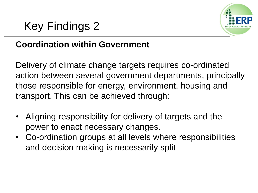

#### **Coordination within Government**

Delivery of climate change targets requires co-ordinated action between several government departments, principally those responsible for energy, environment, housing and transport. This can be achieved through:

- Aligning responsibility for delivery of targets and the power to enact necessary changes.
- Co-ordination groups at all levels where responsibilities and decision making is necessarily split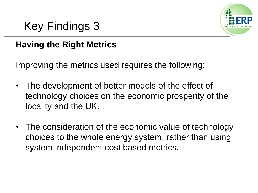

#### **Having the Right Metrics**

Improving the metrics used requires the following:

- The development of better models of the effect of technology choices on the economic prosperity of the locality and the UK.
- The consideration of the economic value of technology choices to the whole energy system, rather than using system independent cost based metrics.